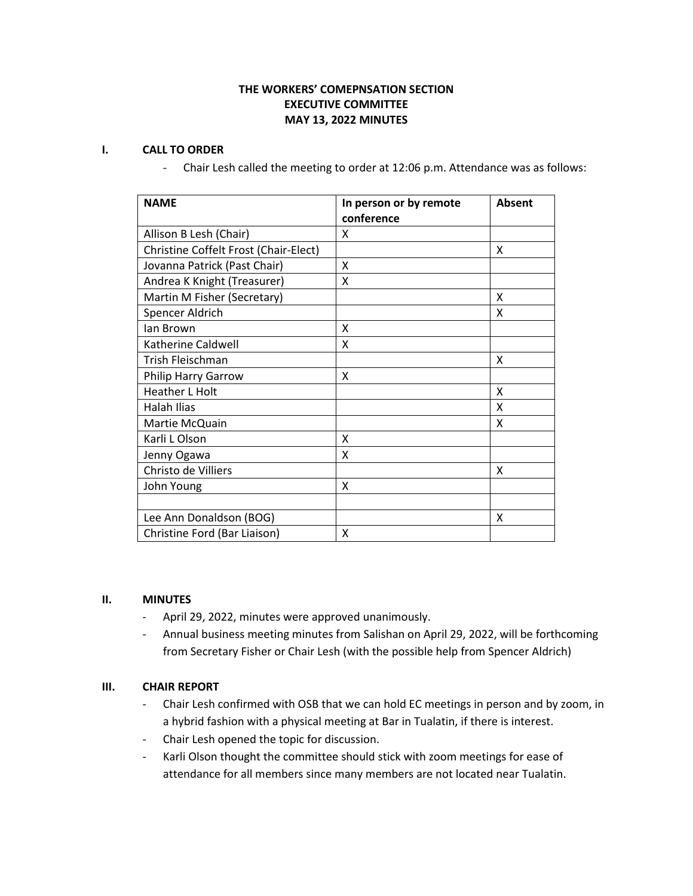# **THE WORKERS' COMEPNSATION SECTION EXECUTIVE COMMITTEE MAY 13, 2022 MINUTES**

## **I. CALL TO ORDER**

- Chair Lesh called the meeting to order at 12:06 p.m. Attendance was as follows:

| <b>NAME</b>                           | In person or by remote<br>conference | <b>Absent</b> |
|---------------------------------------|--------------------------------------|---------------|
| Allison B Lesh (Chair)                | X                                    |               |
| Christine Coffelt Frost (Chair-Elect) |                                      | x             |
| Jovanna Patrick (Past Chair)          | X                                    |               |
| Andrea K Knight (Treasurer)           | x                                    |               |
| Martin M Fisher (Secretary)           |                                      | x             |
| Spencer Aldrich                       |                                      | x             |
| lan Brown                             | X                                    |               |
| Katherine Caldwell                    | x                                    |               |
| Trish Fleischman                      |                                      | X             |
| Philip Harry Garrow                   | X                                    |               |
| <b>Heather L Holt</b>                 |                                      | X             |
| Halah Ilias                           |                                      | X             |
| Martie McQuain                        |                                      | x             |
| Karli L Olson                         | X                                    |               |
| Jenny Ogawa                           | X                                    |               |
| Christo de Villiers                   |                                      | x             |
| John Young                            | X                                    |               |
|                                       |                                      |               |
| Lee Ann Donaldson (BOG)               |                                      | x             |
| Christine Ford (Bar Liaison)          | x                                    |               |

#### **II. MINUTES**

- April 29, 2022, minutes were approved unanimously.
- Annual business meeting minutes from Salishan on April 29, 2022, will be forthcoming from Secretary Fisher or Chair Lesh (with the possible help from Spencer Aldrich)

## **III. CHAIR REPORT**

- Chair Lesh confirmed with OSB that we can hold EC meetings in person and by zoom, in a hybrid fashion with a physical meeting at Bar in Tualatin, if there is interest.
- Chair Lesh opened the topic for discussion.
- Karli Olson thought the committee should stick with zoom meetings for ease of attendance for all members since many members are not located near Tualatin.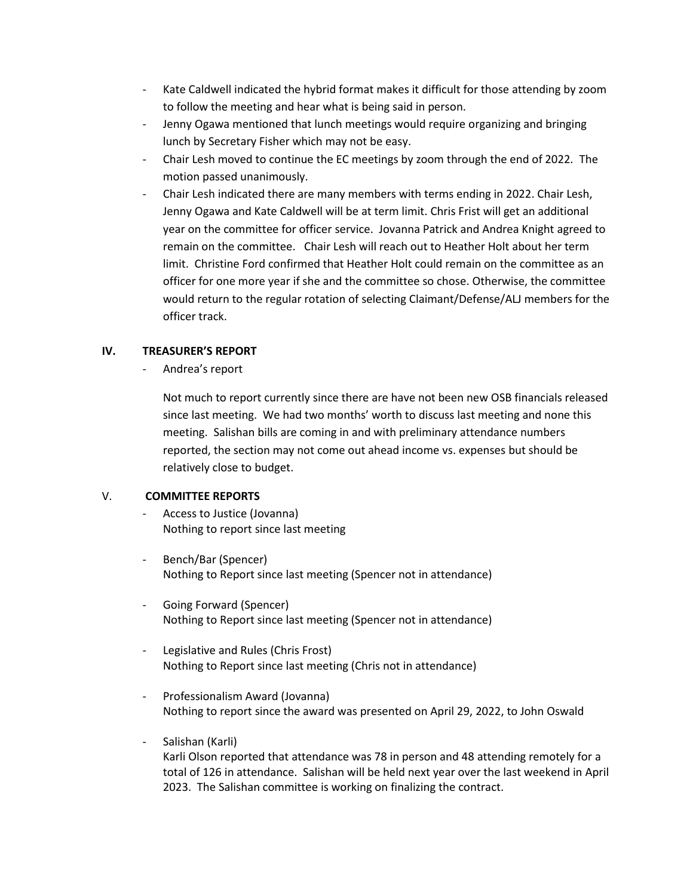- Kate Caldwell indicated the hybrid format makes it difficult for those attending by zoom to follow the meeting and hear what is being said in person.
- Jenny Ogawa mentioned that lunch meetings would require organizing and bringing lunch by Secretary Fisher which may not be easy.
- Chair Lesh moved to continue the EC meetings by zoom through the end of 2022. The motion passed unanimously.
- Chair Lesh indicated there are many members with terms ending in 2022. Chair Lesh, Jenny Ogawa and Kate Caldwell will be at term limit. Chris Frist will get an additional year on the committee for officer service. Jovanna Patrick and Andrea Knight agreed to remain on the committee. Chair Lesh will reach out to Heather Holt about her term limit. Christine Ford confirmed that Heather Holt could remain on the committee as an officer for one more year if she and the committee so chose. Otherwise, the committee would return to the regular rotation of selecting Claimant/Defense/ALJ members for the officer track.

# **IV. TREASURER'S REPORT**

Andrea's report

Not much to report currently since there are have not been new OSB financials released since last meeting. We had two months' worth to discuss last meeting and none this meeting. Salishan bills are coming in and with preliminary attendance numbers reported, the section may not come out ahead income vs. expenses but should be relatively close to budget.

## V. **COMMITTEE REPORTS**

- Access to Justice (Jovanna) Nothing to report since last meeting
- Bench/Bar (Spencer) Nothing to Report since last meeting (Spencer not in attendance)
- Going Forward (Spencer) Nothing to Report since last meeting (Spencer not in attendance)
- Legislative and Rules (Chris Frost) Nothing to Report since last meeting (Chris not in attendance)
- Professionalism Award (Jovanna) Nothing to report since the award was presented on April 29, 2022, to John Oswald
- Salishan (Karli) Karli Olson reported that attendance was 78 in person and 48 attending remotely for a total of 126 in attendance. Salishan will be held next year over the last weekend in April 2023. The Salishan committee is working on finalizing the contract.